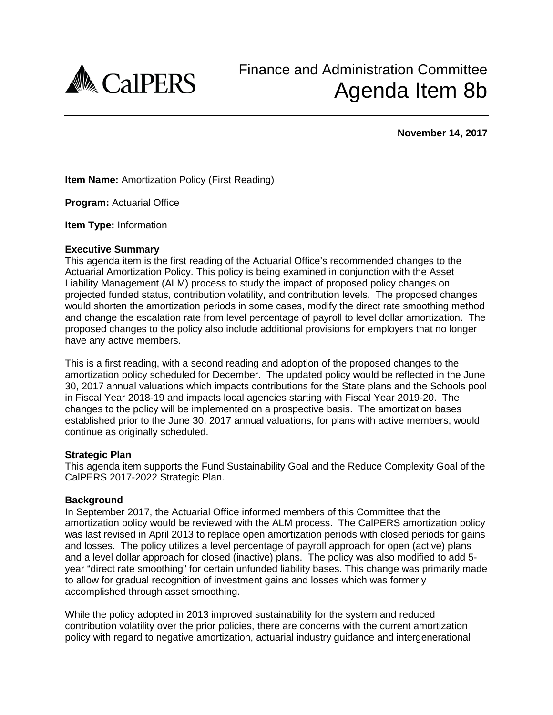

**November 14, 2017**

**Item Name:** Amortization Policy (First Reading)

**Program:** Actuarial Office

**Item Type:** Information

# **Executive Summary**

This agenda item is the first reading of the Actuarial Office's recommended changes to the Actuarial Amortization Policy. This policy is being examined in conjunction with the Asset Liability Management (ALM) process to study the impact of proposed policy changes on projected funded status, contribution volatility, and contribution levels. The proposed changes would shorten the amortization periods in some cases, modify the direct rate smoothing method and change the escalation rate from level percentage of payroll to level dollar amortization. The proposed changes to the policy also include additional provisions for employers that no longer have any active members.

This is a first reading, with a second reading and adoption of the proposed changes to the amortization policy scheduled for December. The updated policy would be reflected in the June 30, 2017 annual valuations which impacts contributions for the State plans and the Schools pool in Fiscal Year 2018-19 and impacts local agencies starting with Fiscal Year 2019-20. The changes to the policy will be implemented on a prospective basis. The amortization bases established prior to the June 30, 2017 annual valuations, for plans with active members, would continue as originally scheduled.

### **Strategic Plan**

This agenda item supports the Fund Sustainability Goal and the Reduce Complexity Goal of the CalPERS 2017-2022 Strategic Plan.

### **Background**

In September 2017, the Actuarial Office informed members of this Committee that the amortization policy would be reviewed with the ALM process. The CalPERS amortization policy was last revised in April 2013 to replace open amortization periods with closed periods for gains and losses. The policy utilizes a level percentage of payroll approach for open (active) plans and a level dollar approach for closed (inactive) plans. The policy was also modified to add 5 year "direct rate smoothing" for certain unfunded liability bases. This change was primarily made to allow for gradual recognition of investment gains and losses which was formerly accomplished through asset smoothing.

While the policy adopted in 2013 improved sustainability for the system and reduced contribution volatility over the prior policies, there are concerns with the current amortization policy with regard to negative amortization, actuarial industry guidance and intergenerational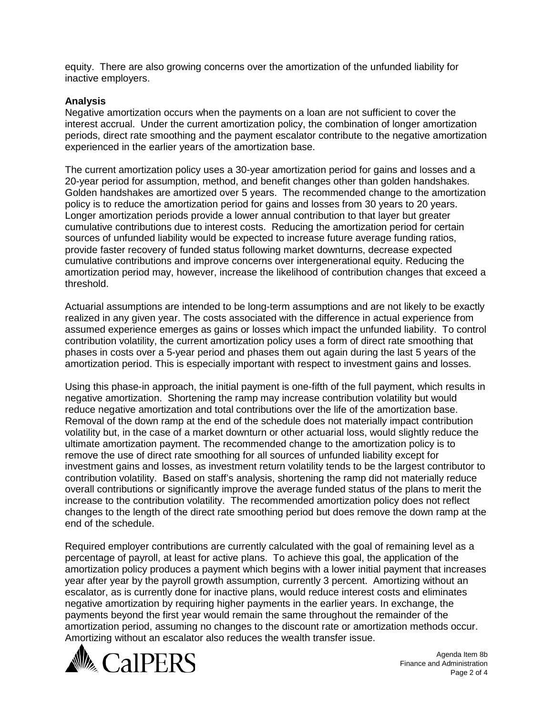equity. There are also growing concerns over the amortization of the unfunded liability for inactive employers.

# **Analysis**

Negative amortization occurs when the payments on a loan are not sufficient to cover the interest accrual. Under the current amortization policy, the combination of longer amortization periods, direct rate smoothing and the payment escalator contribute to the negative amortization experienced in the earlier years of the amortization base.

The current amortization policy uses a 30-year amortization period for gains and losses and a 20-year period for assumption, method, and benefit changes other than golden handshakes. Golden handshakes are amortized over 5 years. The recommended change to the amortization policy is to reduce the amortization period for gains and losses from 30 years to 20 years. Longer amortization periods provide a lower annual contribution to that layer but greater cumulative contributions due to interest costs. Reducing the amortization period for certain sources of unfunded liability would be expected to increase future average funding ratios, provide faster recovery of funded status following market downturns, decrease expected cumulative contributions and improve concerns over intergenerational equity. Reducing the amortization period may, however, increase the likelihood of contribution changes that exceed a threshold.

Actuarial assumptions are intended to be long-term assumptions and are not likely to be exactly realized in any given year. The costs associated with the difference in actual experience from assumed experience emerges as gains or losses which impact the unfunded liability. To control contribution volatility, the current amortization policy uses a form of direct rate smoothing that phases in costs over a 5-year period and phases them out again during the last 5 years of the amortization period. This is especially important with respect to investment gains and losses.

Using this phase-in approach, the initial payment is one-fifth of the full payment, which results in negative amortization. Shortening the ramp may increase contribution volatility but would reduce negative amortization and total contributions over the life of the amortization base. Removal of the down ramp at the end of the schedule does not materially impact contribution volatility but, in the case of a market downturn or other actuarial loss, would slightly reduce the ultimate amortization payment. The recommended change to the amortization policy is to remove the use of direct rate smoothing for all sources of unfunded liability except for investment gains and losses, as investment return volatility tends to be the largest contributor to contribution volatility. Based on staff's analysis, shortening the ramp did not materially reduce overall contributions or significantly improve the average funded status of the plans to merit the increase to the contribution volatility. The recommended amortization policy does not reflect changes to the length of the direct rate smoothing period but does remove the down ramp at the end of the schedule.

Required employer contributions are currently calculated with the goal of remaining level as a percentage of payroll, at least for active plans. To achieve this goal, the application of the amortization policy produces a payment which begins with a lower initial payment that increases year after year by the payroll growth assumption, currently 3 percent. Amortizing without an escalator, as is currently done for inactive plans, would reduce interest costs and eliminates negative amortization by requiring higher payments in the earlier years. In exchange, the payments beyond the first year would remain the same throughout the remainder of the amortization period, assuming no changes to the discount rate or amortization methods occur. Amortizing without an escalator also reduces the wealth transfer issue.



Agenda Item 8b Finance and Administration Page 2 of 4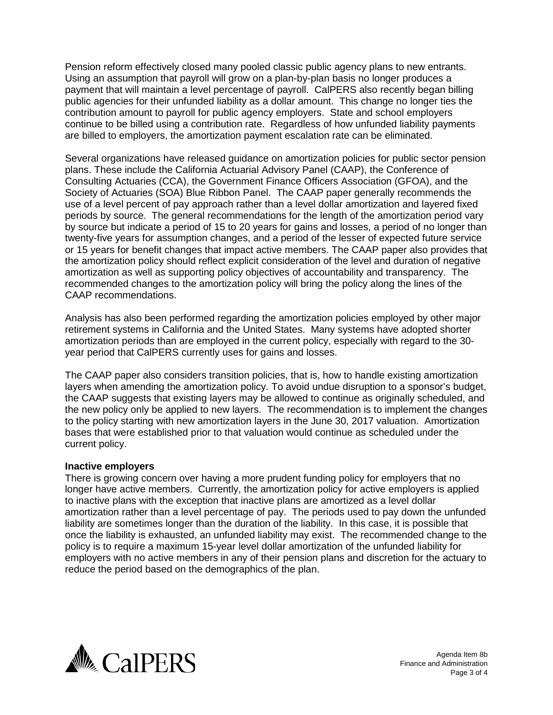Pension reform effectively closed many pooled classic public agency plans to new entrants. Using an assumption that payroll will grow on a plan-by-plan basis no longer produces a payment that will maintain a level percentage of payroll. CalPERS also recently began billing public agencies for their unfunded liability as a dollar amount. This change no longer ties the contribution amount to payroll for public agency employers. State and school employers continue to be billed using a contribution rate. Regardless of how unfunded liability payments are billed to employers, the amortization payment escalation rate can be eliminated.

Several organizations have released guidance on amortization policies for public sector pension plans. These include the California Actuarial Advisory Panel (CAAP), the Conference of Consulting Actuaries (CCA), the Government Finance Officers Association (GFOA), and the Society of Actuaries (SOA) Blue Ribbon Panel. The CAAP paper generally recommends the use of a level percent of pay approach rather than a level dollar amortization and layered fixed periods by source. The general recommendations for the length of the amortization period vary by source but indicate a period of 15 to 20 years for gains and losses, a period of no longer than twenty-five years for assumption changes, and a period of the lesser of expected future service or 15 years for benefit changes that impact active members. The CAAP paper also provides that the amortization policy should reflect explicit consideration of the level and duration of negative amortization as well as supporting policy objectives of accountability and transparency. The recommended changes to the amortization policy will bring the policy along the lines of the CAAP recommendations.

Analysis has also been performed regarding the amortization policies employed by other major retirement systems in California and the United States. Many systems have adopted shorter amortization periods than are employed in the current policy, especially with regard to the 30 year period that CalPERS currently uses for gains and losses.

The CAAP paper also considers transition policies, that is, how to handle existing amortization layers when amending the amortization policy. To avoid undue disruption to a sponsor's budget, the CAAP suggests that existing layers may be allowed to continue as originally scheduled, and the new policy only be applied to new layers. The recommendation is to implement the changes to the policy starting with new amortization layers in the June 30, 2017 valuation. Amortization bases that were established prior to that valuation would continue as scheduled under the current policy.

### **Inactive employers**

There is growing concern over having a more prudent funding policy for employers that no longer have active members. Currently, the amortization policy for active employers is applied to inactive plans with the exception that inactive plans are amortized as a level dollar amortization rather than a level percentage of pay. The periods used to pay down the unfunded liability are sometimes longer than the duration of the liability. In this case, it is possible that once the liability is exhausted, an unfunded liability may exist. The recommended change to the policy is to require a maximum 15-year level dollar amortization of the unfunded liability for employers with no active members in any of their pension plans and discretion for the actuary to reduce the period based on the demographics of the plan.



Agenda Item 8b Finance and Administration Page 3 of 4